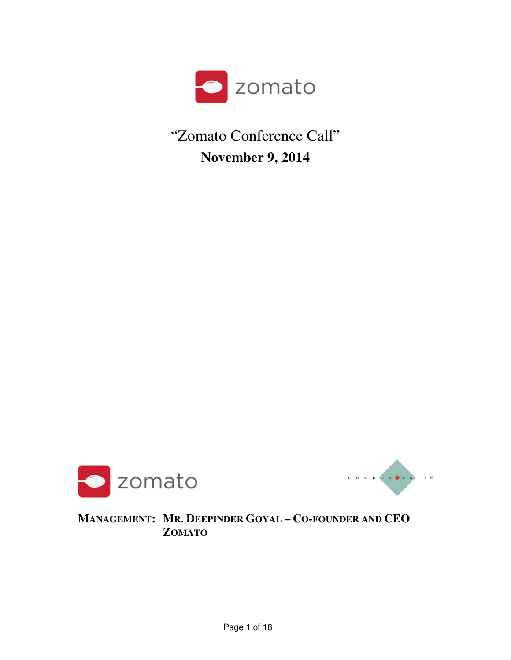

"Zomato Conference Call" **November 9, 2014** 





**MANAGEMENT: MR. DEEPINDER GOYAL – CO-FOUNDER AND CEO ZOMATO**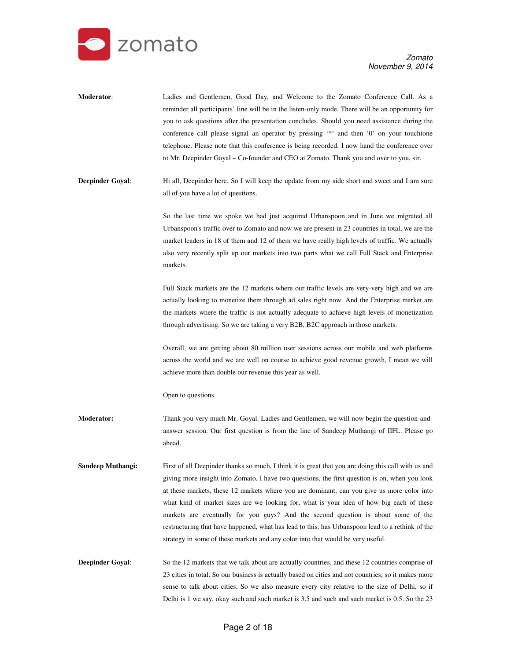

| Moderator:               | Ladies and Gentlemen, Good Day, and Welcome to the Zomato Conference Call. As a<br>reminder all participants' line will be in the listen-only mode. There will be an opportunity for<br>you to ask questions after the presentation concludes. Should you need assistance during the<br>conference call please signal an operator by pressing '*' and then '0' on your touchtone<br>telephone. Please note that this conference is being recorded. I now hand the conference over<br>to Mr. Deepinder Goyal – Co-founder and CEO at Zomato. Thank you and over to you, sir.                                                                                                 |
|--------------------------|-----------------------------------------------------------------------------------------------------------------------------------------------------------------------------------------------------------------------------------------------------------------------------------------------------------------------------------------------------------------------------------------------------------------------------------------------------------------------------------------------------------------------------------------------------------------------------------------------------------------------------------------------------------------------------|
| <b>Deepinder Goyal:</b>  | Hi all, Deepinder here. So I will keep the update from my side short and sweet and I am sure<br>all of you have a lot of questions.                                                                                                                                                                                                                                                                                                                                                                                                                                                                                                                                         |
|                          | So the last time we spoke we had just acquired Urbanspoon and in June we migrated all<br>Urbanspoon's traffic over to Zomato and now we are present in 23 countries in total, we are the<br>market leaders in 18 of them and 12 of them we have really high levels of traffic. We actually<br>also very recently split up our markets into two parts what we call Full Stack and Enterprise<br>markets.                                                                                                                                                                                                                                                                     |
|                          | Full Stack markets are the 12 markets where our traffic levels are very-very high and we are<br>actually looking to monetize them through ad sales right now. And the Enterprise market are<br>the markets where the traffic is not actually adequate to achieve high levels of monetization<br>through advertising. So we are taking a very B2B, B2C approach in those markets.                                                                                                                                                                                                                                                                                            |
|                          | Overall, we are getting about 80 million user sessions across our mobile and web platforms<br>across the world and we are well on course to achieve good revenue growth, I mean we will<br>achieve more than double our revenue this year as well.                                                                                                                                                                                                                                                                                                                                                                                                                          |
|                          | Open to questions.                                                                                                                                                                                                                                                                                                                                                                                                                                                                                                                                                                                                                                                          |
| <b>Moderator:</b>        | Thank you very much Mr. Goyal. Ladies and Gentlemen, we will now begin the question-and-<br>answer session. Our first question is from the line of Sandeep Muthangi of IIFL. Please go<br>ahead.                                                                                                                                                                                                                                                                                                                                                                                                                                                                            |
| <b>Sandeep Muthangi:</b> | First of all Deepinder thanks so much, I think it is great that you are doing this call with us and<br>giving more insight into Zomato. I have two questions, the first question is on, when you look<br>at these markets, these 12 markets where you are dominant, can you give us more color into<br>what kind of market sizes are we looking for, what is your idea of how big each of these<br>markets are eventually for you guys? And the second question is about some of the<br>restructuring that have happened, what has lead to this, has Urbanspoon lead to a rethink of the<br>strategy in some of these markets and any color into that would be very useful. |
| <b>Deepinder Goyal:</b>  | So the 12 markets that we talk about are actually countries, and these 12 countries comprise of<br>23 cities in total. So our business is actually based on cities and not countries, so it makes more<br>sense to talk about cities. So we also measure every city relative to the size of Delhi, so if<br>Delhi is 1 we say, okay such and such market is 3.5 and such and such market is 0.5. So the 23                                                                                                                                                                                                                                                                  |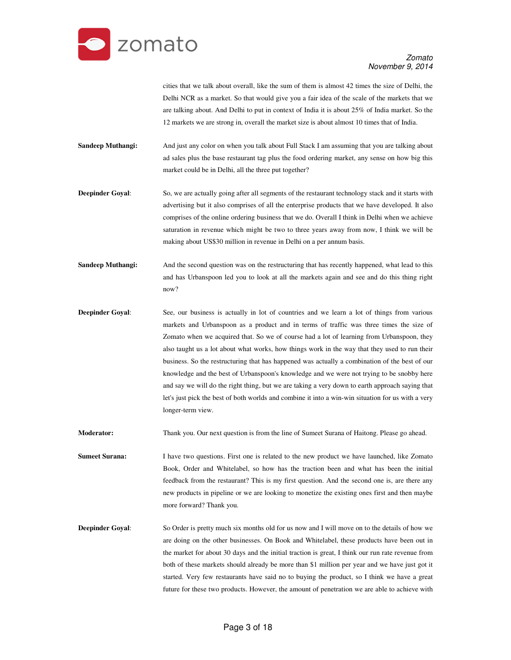

cities that we talk about overall, like the sum of them is almost 42 times the size of Delhi, the Delhi NCR as a market. So that would give you a fair idea of the scale of the markets that we are talking about. And Delhi to put in context of India it is about 25% of India market. So the 12 markets we are strong in, overall the market size is about almost 10 times that of India.

- **Sandeep Muthangi:** And just any color on when you talk about Full Stack I am assuming that you are talking about ad sales plus the base restaurant tag plus the food ordering market, any sense on how big this market could be in Delhi, all the three put together?
- **Deepinder Goyal**: So, we are actually going after all segments of the restaurant technology stack and it starts with advertising but it also comprises of all the enterprise products that we have developed. It also comprises of the online ordering business that we do. Overall I think in Delhi when we achieve saturation in revenue which might be two to three years away from now, I think we will be making about US\$30 million in revenue in Delhi on a per annum basis.
- **Sandeep Muthangi:** And the second question was on the restructuring that has recently happened, what lead to this and has Urbanspoon led you to look at all the markets again and see and do this thing right now?
- **Deepinder Goyal**: See, our business is actually in lot of countries and we learn a lot of things from various markets and Urbanspoon as a product and in terms of traffic was three times the size of Zomato when we acquired that. So we of course had a lot of learning from Urbanspoon, they also taught us a lot about what works, how things work in the way that they used to run their business. So the restructuring that has happened was actually a combination of the best of our knowledge and the best of Urbanspoon's knowledge and we were not trying to be snobby here and say we will do the right thing, but we are taking a very down to earth approach saying that let's just pick the best of both worlds and combine it into a win-win situation for us with a very longer-term view.

**Moderator:** Thank you. Our next question is from the line of Sumeet Surana of Haitong. Please go ahead.

**Sumeet Surana:** I have two questions. First one is related to the new product we have launched, like Zomato Book, Order and Whitelabel, so how has the traction been and what has been the initial feedback from the restaurant? This is my first question. And the second one is, are there any new products in pipeline or we are looking to monetize the existing ones first and then maybe more forward? Thank you.

**Deepinder Goyal:** So Order is pretty much six months old for us now and I will move on to the details of how we are doing on the other businesses. On Book and Whitelabel, these products have been out in the market for about 30 days and the initial traction is great, I think our run rate revenue from both of these markets should already be more than \$1 million per year and we have just got it started. Very few restaurants have said no to buying the product, so I think we have a great future for these two products. However, the amount of penetration we are able to achieve with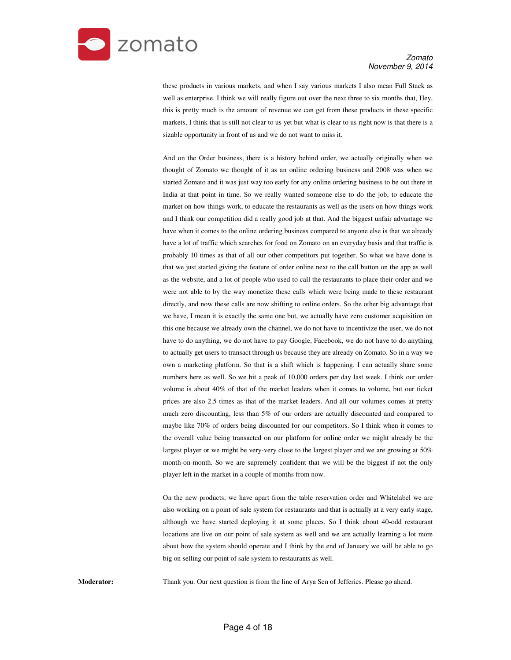

these products in various markets, and when I say various markets I also mean Full Stack as well as enterprise. I think we will really figure out over the next three to six months that, Hey, this is pretty much is the amount of revenue we can get from these products in these specific markets, I think that is still not clear to us yet but what is clear to us right now is that there is a sizable opportunity in front of us and we do not want to miss it.

And on the Order business, there is a history behind order, we actually originally when we thought of Zomato we thought of it as an online ordering business and 2008 was when we started Zomato and it was just way too early for any online ordering business to be out there in India at that point in time. So we really wanted someone else to do the job, to educate the market on how things work, to educate the restaurants as well as the users on how things work and I think our competition did a really good job at that. And the biggest unfair advantage we have when it comes to the online ordering business compared to anyone else is that we already have a lot of traffic which searches for food on Zomato on an everyday basis and that traffic is probably 10 times as that of all our other competitors put together. So what we have done is that we just started giving the feature of order online next to the call button on the app as well as the website, and a lot of people who used to call the restaurants to place their order and we were not able to by the way monetize these calls which were being made to these restaurant directly, and now these calls are now shifting to online orders. So the other big advantage that we have, I mean it is exactly the same one but, we actually have zero customer acquisition on this one because we already own the channel, we do not have to incentivize the user, we do not have to do anything, we do not have to pay Google, Facebook, we do not have to do anything to actually get users to transact through us because they are already on Zomato. So in a way we own a marketing platform. So that is a shift which is happening. I can actually share some numbers here as well. So we hit a peak of 10,000 orders per day last week. I think our order volume is about 40% of that of the market leaders when it comes to volume, but our ticket prices are also 2.5 times as that of the market leaders. And all our volumes comes at pretty much zero discounting, less than 5% of our orders are actually discounted and compared to maybe like 70% of orders being discounted for our competitors. So I think when it comes to the overall value being transacted on our platform for online order we might already be the largest player or we might be very-very close to the largest player and we are growing at 50% month-on-month. So we are supremely confident that we will be the biggest if not the only player left in the market in a couple of months from now.

 On the new products, we have apart from the table reservation order and Whitelabel we are also working on a point of sale system for restaurants and that is actually at a very early stage, although we have started deploying it at some places. So I think about 40-odd restaurant locations are live on our point of sale system as well and we are actually learning a lot more about how the system should operate and I think by the end of January we will be able to go big on selling our point of sale system to restaurants as well.

**Moderator:** Thank you. Our next question is from the line of Arya Sen of Jefferies. Please go ahead.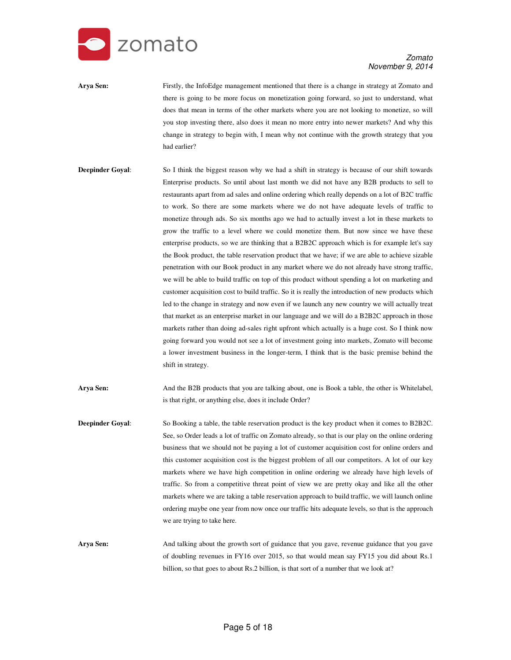

**Arya Sen:** Firstly, the InfoEdge management mentioned that there is a change in strategy at Zomato and there is going to be more focus on monetization going forward, so just to understand, what does that mean in terms of the other markets where you are not looking to monetize, so will you stop investing there, also does it mean no more entry into newer markets? And why this change in strategy to begin with, I mean why not continue with the growth strategy that you had earlier?

**Deepinder Goyal**: So I think the biggest reason why we had a shift in strategy is because of our shift towards Enterprise products. So until about last month we did not have any B2B products to sell to restaurants apart from ad sales and online ordering which really depends on a lot of B2C traffic to work. So there are some markets where we do not have adequate levels of traffic to monetize through ads. So six months ago we had to actually invest a lot in these markets to grow the traffic to a level where we could monetize them. But now since we have these enterprise products, so we are thinking that a B2B2C approach which is for example let's say the Book product, the table reservation product that we have; if we are able to achieve sizable penetration with our Book product in any market where we do not already have strong traffic, we will be able to build traffic on top of this product without spending a lot on marketing and customer acquisition cost to build traffic. So it is really the introduction of new products which led to the change in strategy and now even if we launch any new country we will actually treat that market as an enterprise market in our language and we will do a B2B2C approach in those markets rather than doing ad-sales right upfront which actually is a huge cost. So I think now going forward you would not see a lot of investment going into markets, Zomato will become a lower investment business in the longer-term, I think that is the basic premise behind the shift in strategy.

**Arya Sen:** And the B2B products that you are talking about, one is Book a table, the other is Whitelabel, is that right, or anything else, does it include Order?

**Deepinder Goyal:** So Booking a table, the table reservation product is the key product when it comes to B2B2C. See, so Order leads a lot of traffic on Zomato already, so that is our play on the online ordering business that we should not be paying a lot of customer acquisition cost for online orders and this customer acquisition cost is the biggest problem of all our competitors. A lot of our key markets where we have high competition in online ordering we already have high levels of traffic. So from a competitive threat point of view we are pretty okay and like all the other markets where we are taking a table reservation approach to build traffic, we will launch online ordering maybe one year from now once our traffic hits adequate levels, so that is the approach we are trying to take here.

**Arya Sen:** And talking about the growth sort of guidance that you gave, revenue guidance that you gave of doubling revenues in FY16 over 2015, so that would mean say FY15 you did about Rs.1 billion, so that goes to about Rs.2 billion, is that sort of a number that we look at?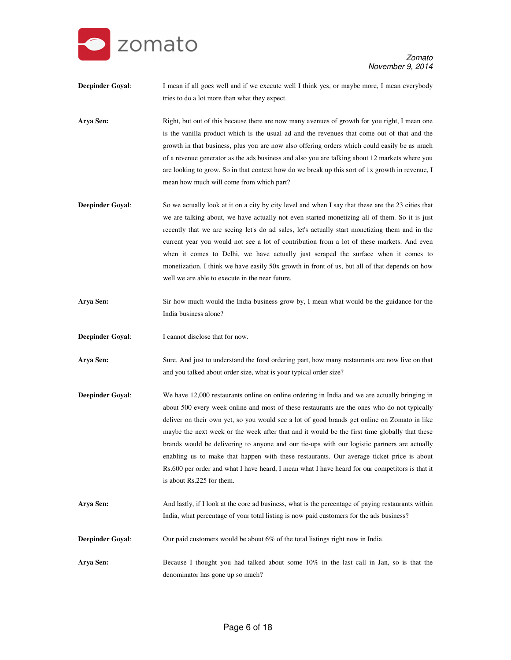

**Deepinder Goyal:** I mean if all goes well and if we execute well I think yes, or maybe more, I mean everybody tries to do a lot more than what they expect.

**Arya Sen:** Right, but out of this because there are now many avenues of growth for you right, I mean one is the vanilla product which is the usual ad and the revenues that come out of that and the growth in that business, plus you are now also offering orders which could easily be as much of a revenue generator as the ads business and also you are talking about 12 markets where you are looking to grow. So in that context how do we break up this sort of 1x growth in revenue, I mean how much will come from which part?

- **Deepinder Goyal:** So we actually look at it on a city by city level and when I say that these are the 23 cities that we are talking about, we have actually not even started monetizing all of them. So it is just recently that we are seeing let's do ad sales, let's actually start monetizing them and in the current year you would not see a lot of contribution from a lot of these markets. And even when it comes to Delhi, we have actually just scraped the surface when it comes to monetization. I think we have easily 50x growth in front of us, but all of that depends on how well we are able to execute in the near future.
- **Arya Sen:** Sir how much would the India business grow by, I mean what would be the guidance for the India business alone?
- **Deepinder Goyal:** I cannot disclose that for now.

**Arya Sen:** Sure. And just to understand the food ordering part, how many restaurants are now live on that and you talked about order size, what is your typical order size?

- **Deepinder Goyal:** We have 12,000 restaurants online on online ordering in India and we are actually bringing in about 500 every week online and most of these restaurants are the ones who do not typically deliver on their own yet, so you would see a lot of good brands get online on Zomato in like maybe the next week or the week after that and it would be the first time globally that these brands would be delivering to anyone and our tie-ups with our logistic partners are actually enabling us to make that happen with these restaurants. Our average ticket price is about Rs.600 per order and what I have heard, I mean what I have heard for our competitors is that it is about Rs.225 for them.
- **Arya Sen:** And lastly, if I look at the core ad business, what is the percentage of paying restaurants within India, what percentage of your total listing is now paid customers for the ads business?
- **Deepinder Goyal:** Our paid customers would be about 6% of the total listings right now in India.

**Arya Sen:** Because I thought you had talked about some 10% in the last call in Jan, so is that the denominator has gone up so much?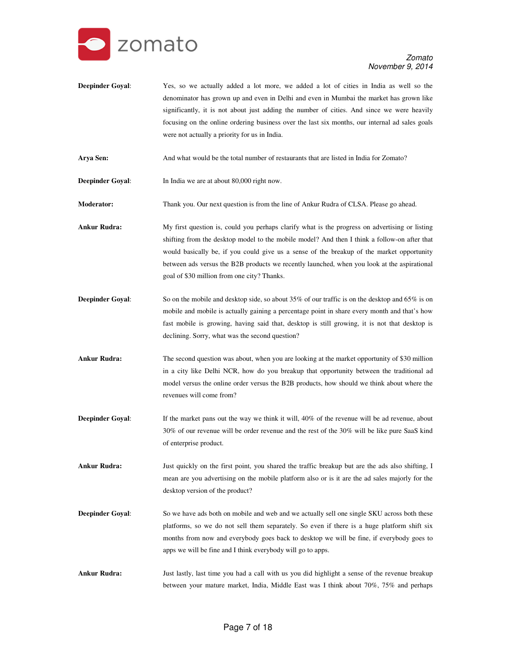

**Deepinder Goyal**: Yes, so we actually added a lot more, we added a lot of cities in India as well so the denominator has grown up and even in Delhi and even in Mumbai the market has grown like significantly, it is not about just adding the number of cities. And since we were heavily focusing on the online ordering business over the last six months, our internal ad sales goals were not actually a priority for us in India.

**Arya Sen:** And what would be the total number of restaurants that are listed in India for Zomato?

**Deepinder Goyal:** In India we are at about 80,000 right now.

**Moderator:** Thank you. Our next question is from the line of Ankur Rudra of CLSA. Please go ahead.

**Ankur Rudra:** My first question is, could you perhaps clarify what is the progress on advertising or listing shifting from the desktop model to the mobile model? And then I think a follow-on after that would basically be, if you could give us a sense of the breakup of the market opportunity between ads versus the B2B products we recently launched, when you look at the aspirational goal of \$30 million from one city? Thanks.

- **Deepinder Goyal:** So on the mobile and desktop side, so about 35% of our traffic is on the desktop and 65% is on mobile and mobile is actually gaining a percentage point in share every month and that's how fast mobile is growing, having said that, desktop is still growing, it is not that desktop is declining. Sorry, what was the second question?
- **Ankur Rudra:** The second question was about, when you are looking at the market opportunity of \$30 million in a city like Delhi NCR, how do you breakup that opportunity between the traditional ad model versus the online order versus the B2B products, how should we think about where the revenues will come from?
- **Deepinder Goyal:** If the market pans out the way we think it will, 40% of the revenue will be ad revenue, about 30% of our revenue will be order revenue and the rest of the 30% will be like pure SaaS kind of enterprise product.

**Ankur Rudra:** Just quickly on the first point, you shared the traffic breakup but are the ads also shifting, I mean are you advertising on the mobile platform also or is it are the ad sales majorly for the desktop version of the product?

- **Deepinder Goyal:** So we have ads both on mobile and web and we actually sell one single SKU across both these platforms, so we do not sell them separately. So even if there is a huge platform shift six months from now and everybody goes back to desktop we will be fine, if everybody goes to apps we will be fine and I think everybody will go to apps.
- **Ankur Rudra:** Just lastly, last time you had a call with us you did highlight a sense of the revenue breakup between your mature market, India, Middle East was I think about 70%, 75% and perhaps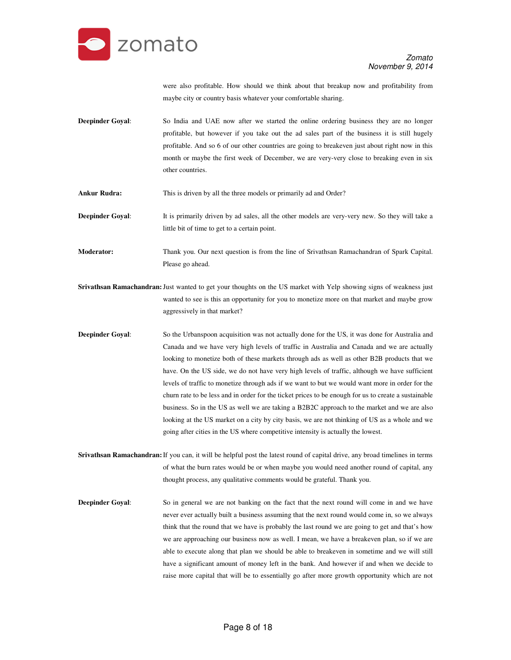

were also profitable. How should we think about that breakup now and profitability from maybe city or country basis whatever your comfortable sharing.

- **Deepinder Goyal**: So India and UAE now after we started the online ordering business they are no longer profitable, but however if you take out the ad sales part of the business it is still hugely profitable. And so 6 of our other countries are going to breakeven just about right now in this month or maybe the first week of December, we are very-very close to breaking even in six other countries.
- Ankur Rudra: This is driven by all the three models or primarily ad and Order?

**Deepinder Goyal**: It is primarily driven by ad sales, all the other models are very-very new. So they will take a little bit of time to get to a certain point.

- **Moderator:** Thank you. Our next question is from the line of Srivathsan Ramachandran of Spark Capital. Please go ahead.
- **Srivathsan Ramachandran:** Just wanted to get your thoughts on the US market with Yelp showing signs of weakness just wanted to see is this an opportunity for you to monetize more on that market and maybe grow aggressively in that market?
- **Deepinder Goyal:** So the Urbanspoon acquisition was not actually done for the US, it was done for Australia and Canada and we have very high levels of traffic in Australia and Canada and we are actually looking to monetize both of these markets through ads as well as other B2B products that we have. On the US side, we do not have very high levels of traffic, although we have sufficient levels of traffic to monetize through ads if we want to but we would want more in order for the churn rate to be less and in order for the ticket prices to be enough for us to create a sustainable business. So in the US as well we are taking a B2B2C approach to the market and we are also looking at the US market on a city by city basis, we are not thinking of US as a whole and we going after cities in the US where competitive intensity is actually the lowest.
- **Srivathsan Ramachandran:** If you can, it will be helpful post the latest round of capital drive, any broad timelines in terms of what the burn rates would be or when maybe you would need another round of capital, any thought process, any qualitative comments would be grateful. Thank you.
- **Deepinder Goyal:** So in general we are not banking on the fact that the next round will come in and we have never ever actually built a business assuming that the next round would come in, so we always think that the round that we have is probably the last round we are going to get and that's how we are approaching our business now as well. I mean, we have a breakeven plan, so if we are able to execute along that plan we should be able to breakeven in sometime and we will still have a significant amount of money left in the bank. And however if and when we decide to raise more capital that will be to essentially go after more growth opportunity which are not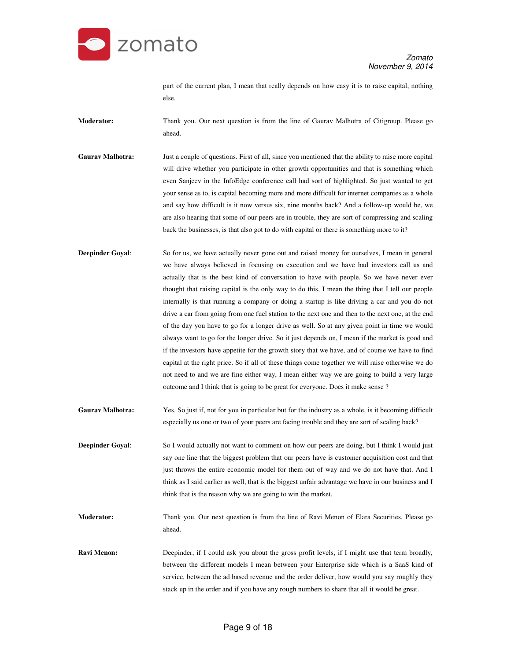

part of the current plan, I mean that really depends on how easy it is to raise capital, nothing else.

**Moderator:** Thank you. Our next question is from the line of Gaurav Malhotra of Citigroup. Please go ahead.

**Gaurav Malhotra:** Just a couple of questions. First of all, since you mentioned that the ability to raise more capital will drive whether you participate in other growth opportunities and that is something which even Sanjeev in the InfoEdge conference call had sort of highlighted. So just wanted to get your sense as to, is capital becoming more and more difficult for internet companies as a whole and say how difficult is it now versus six, nine months back? And a follow-up would be, we are also hearing that some of our peers are in trouble, they are sort of compressing and scaling back the businesses, is that also got to do with capital or there is something more to it?

**Deepinder Goyal:** So for us, we have actually never gone out and raised money for ourselves, I mean in general we have always believed in focusing on execution and we have had investors call us and actually that is the best kind of conversation to have with people. So we have never ever thought that raising capital is the only way to do this, I mean the thing that I tell our people internally is that running a company or doing a startup is like driving a car and you do not drive a car from going from one fuel station to the next one and then to the next one, at the end of the day you have to go for a longer drive as well. So at any given point in time we would always want to go for the longer drive. So it just depends on, I mean if the market is good and if the investors have appetite for the growth story that we have, and of course we have to find capital at the right price. So if all of these things come together we will raise otherwise we do not need to and we are fine either way, I mean either way we are going to build a very large outcome and I think that is going to be great for everyone. Does it make sense ?

**Gaurav Malhotra:** Yes. So just if, not for you in particular but for the industry as a whole, is it becoming difficult especially us one or two of your peers are facing trouble and they are sort of scaling back?

**Deepinder Goyal:** So I would actually not want to comment on how our peers are doing, but I think I would just say one line that the biggest problem that our peers have is customer acquisition cost and that just throws the entire economic model for them out of way and we do not have that. And I think as I said earlier as well, that is the biggest unfair advantage we have in our business and I think that is the reason why we are going to win the market.

**Moderator:** Thank you. Our next question is from the line of Ravi Menon of Elara Securities. Please go ahead.

**Ravi Menon:** Deepinder, if I could ask you about the gross profit levels, if I might use that term broadly, between the different models I mean between your Enterprise side which is a SaaS kind of service, between the ad based revenue and the order deliver, how would you say roughly they stack up in the order and if you have any rough numbers to share that all it would be great.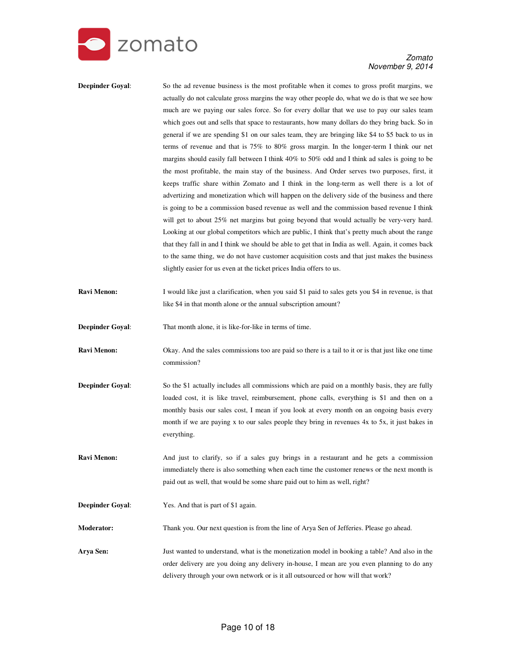

## Zomato November 9, 2014

| <b>Deepinder Goyal:</b> | So the ad revenue business is the most profitable when it comes to gross profit margins, we<br>actually do not calculate gross margins the way other people do, what we do is that we see how<br>much are we paying our sales force. So for every dollar that we use to pay our sales team<br>which goes out and sells that space to restaurants, how many dollars do they bring back. So in<br>general if we are spending \$1 on our sales team, they are bringing like \$4 to \$5 back to us in<br>terms of revenue and that is $75\%$ to $80\%$ gross margin. In the longer-term I think our net<br>margins should easily fall between I think $40\%$ to $50\%$ odd and I think ad sales is going to be<br>the most profitable, the main stay of the business. And Order serves two purposes, first, it<br>keeps traffic share within Zomato and I think in the long-term as well there is a lot of<br>advertizing and monetization which will happen on the delivery side of the business and there<br>is going to be a commission based revenue as well and the commission based revenue I think<br>will get to about 25% net margins but going beyond that would actually be very-very hard.<br>Looking at our global competitors which are public, I think that's pretty much about the range<br>that they fall in and I think we should be able to get that in India as well. Again, it comes back<br>to the same thing, we do not have customer acquisition costs and that just makes the business<br>slightly easier for us even at the ticket prices India offers to us. |
|-------------------------|-------------------------------------------------------------------------------------------------------------------------------------------------------------------------------------------------------------------------------------------------------------------------------------------------------------------------------------------------------------------------------------------------------------------------------------------------------------------------------------------------------------------------------------------------------------------------------------------------------------------------------------------------------------------------------------------------------------------------------------------------------------------------------------------------------------------------------------------------------------------------------------------------------------------------------------------------------------------------------------------------------------------------------------------------------------------------------------------------------------------------------------------------------------------------------------------------------------------------------------------------------------------------------------------------------------------------------------------------------------------------------------------------------------------------------------------------------------------------------------------------------------------------------------------------------------------------------------|
| <b>Ravi Menon:</b>      | I would like just a clarification, when you said \$1 paid to sales gets you \$4 in revenue, is that<br>like \$4 in that month alone or the annual subscription amount?                                                                                                                                                                                                                                                                                                                                                                                                                                                                                                                                                                                                                                                                                                                                                                                                                                                                                                                                                                                                                                                                                                                                                                                                                                                                                                                                                                                                              |
| <b>Deepinder Goyal:</b> | That month alone, it is like-for-like in terms of time.                                                                                                                                                                                                                                                                                                                                                                                                                                                                                                                                                                                                                                                                                                                                                                                                                                                                                                                                                                                                                                                                                                                                                                                                                                                                                                                                                                                                                                                                                                                             |
| Ravi Menon:             | Okay. And the sales commissions too are paid so there is a tail to it or is that just like one time<br>commission?                                                                                                                                                                                                                                                                                                                                                                                                                                                                                                                                                                                                                                                                                                                                                                                                                                                                                                                                                                                                                                                                                                                                                                                                                                                                                                                                                                                                                                                                  |
| <b>Deepinder Goyal:</b> | So the \$1 actually includes all commissions which are paid on a monthly basis, they are fully<br>loaded cost, it is like travel, reimbursement, phone calls, everything is \$1 and then on a<br>monthly basis our sales cost, I mean if you look at every month on an ongoing basis every<br>month if we are paying x to our sales people they bring in revenues 4x to 5x, it just bakes in<br>everything.                                                                                                                                                                                                                                                                                                                                                                                                                                                                                                                                                                                                                                                                                                                                                                                                                                                                                                                                                                                                                                                                                                                                                                         |

- **Ravi Menon:** And just to clarify, so if a sales guy brings in a restaurant and he gets a commission immediately there is also something when each time the customer renews or the next month is paid out as well, that would be some share paid out to him as well, right?
- **Deepinder Goyal**: Yes. And that is part of \$1 again.

**Moderator:** Thank you. Our next question is from the line of Arya Sen of Jefferies. Please go ahead.

**Arya Sen:** Just wanted to understand, what is the monetization model in booking a table? And also in the order delivery are you doing any delivery in-house, I mean are you even planning to do any delivery through your own network or is it all outsourced or how will that work?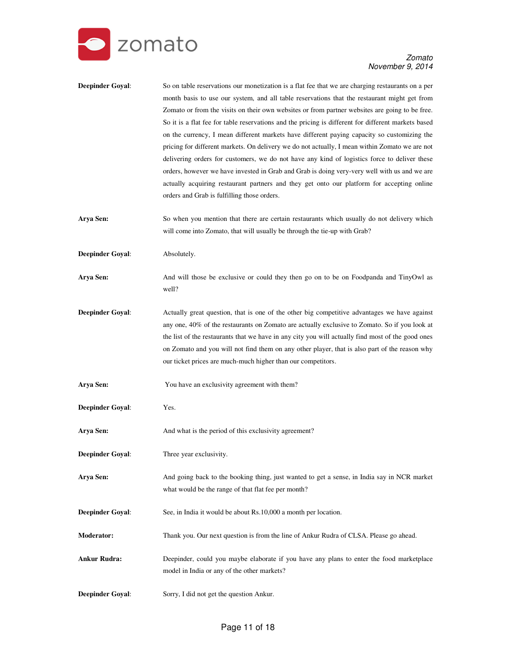

| <b>Deepinder Goyal:</b> | So on table reservations our monetization is a flat fee that we are charging restaurants on a per   |
|-------------------------|-----------------------------------------------------------------------------------------------------|
|                         | month basis to use our system, and all table reservations that the restaurant might get from        |
|                         | Zomato or from the visits on their own websites or from partner websites are going to be free.      |
|                         | So it is a flat fee for table reservations and the pricing is different for different markets based |
|                         | on the currency, I mean different markets have different paying capacity so customizing the         |
|                         |                                                                                                     |
|                         | pricing for different markets. On delivery we do not actually, I mean within Zomato we are not      |
|                         | delivering orders for customers, we do not have any kind of logistics force to deliver these        |
|                         | orders, however we have invested in Grab and Grab is doing very-very well with us and we are        |
|                         | actually acquiring restaurant partners and they get onto our platform for accepting online          |
|                         | orders and Grab is fulfilling those orders.                                                         |
| Arya Sen:               | So when you mention that there are certain restaurants which usually do not delivery which          |
|                         | will come into Zomato, that will usually be through the tie-up with Grab?                           |
| <b>Deepinder Goyal:</b> | Absolutely.                                                                                         |
| Arya Sen:               | And will those be exclusive or could they then go on to be on Foodpanda and TinyOwl as              |
|                         | well?                                                                                               |
| <b>Deepinder Goyal:</b> | Actually great question, that is one of the other big competitive advantages we have against        |
|                         | any one, 40% of the restaurants on Zomato are actually exclusive to Zomato. So if you look at       |
|                         | the list of the restaurants that we have in any city you will actually find most of the good ones   |
|                         | on Zomato and you will not find them on any other player, that is also part of the reason why       |
|                         |                                                                                                     |
|                         | our ticket prices are much-much higher than our competitors.                                        |
| Arya Sen:               | You have an exclusivity agreement with them?                                                        |
| <b>Deepinder Goyal:</b> | Yes.                                                                                                |
| Arya Sen:               | And what is the period of this exclusivity agreement?                                               |
| <b>Deepinder Goyal:</b> | Three year exclusivity.                                                                             |
| Arya Sen:               | And going back to the booking thing, just wanted to get a sense, in India say in NCR market         |
|                         | what would be the range of that flat fee per month?                                                 |
| <b>Deepinder Goyal:</b> | See, in India it would be about Rs.10,000 a month per location.                                     |
|                         |                                                                                                     |
| Moderator:              | Thank you. Our next question is from the line of Ankur Rudra of CLSA. Please go ahead.              |
| <b>Ankur Rudra:</b>     | Deepinder, could you maybe elaborate if you have any plans to enter the food marketplace            |
|                         | model in India or any of the other markets?                                                         |
| <b>Deepinder Goyal:</b> | Sorry, I did not get the question Ankur.                                                            |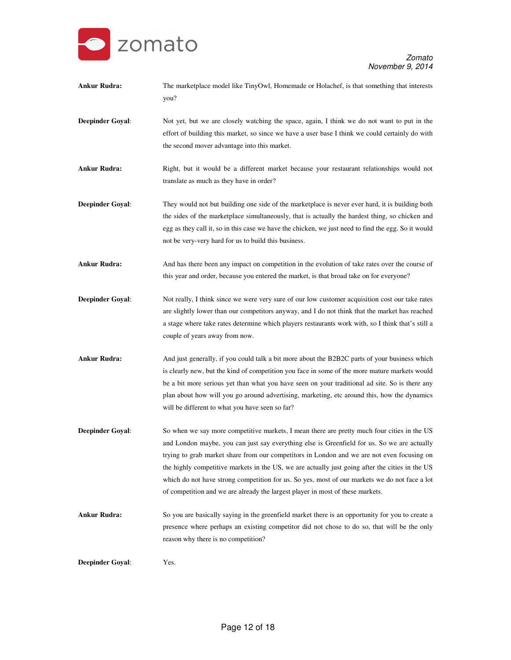

| <b>Ankur Rudra:</b>     | The marketplace model like TinyOwl, Homemade or Holachef, is that something that interests<br>you?                                                                                                                                                                                                                                                                                                                                                                                                                                                                             |
|-------------------------|--------------------------------------------------------------------------------------------------------------------------------------------------------------------------------------------------------------------------------------------------------------------------------------------------------------------------------------------------------------------------------------------------------------------------------------------------------------------------------------------------------------------------------------------------------------------------------|
| <b>Deepinder Goyal:</b> | Not yet, but we are closely watching the space, again, I think we do not want to put in the<br>effort of building this market, so since we have a user base I think we could certainly do with<br>the second mover advantage into this market.                                                                                                                                                                                                                                                                                                                                 |
| <b>Ankur Rudra:</b>     | Right, but it would be a different market because your restaurant relationships would not<br>translate as much as they have in order?                                                                                                                                                                                                                                                                                                                                                                                                                                          |
| <b>Deepinder Goyal:</b> | They would not but building one side of the marketplace is never ever hard, it is building both<br>the sides of the marketplace simultaneously, that is actually the hardest thing, so chicken and<br>egg as they call it, so in this case we have the chicken, we just need to find the egg. So it would<br>not be very-very hard for us to build this business.                                                                                                                                                                                                              |
| <b>Ankur Rudra:</b>     | And has there been any impact on competition in the evolution of take rates over the course of<br>this year and order, because you entered the market, is that broad take on for everyone?                                                                                                                                                                                                                                                                                                                                                                                     |
| <b>Deepinder Goyal:</b> | Not really, I think since we were very sure of our low customer acquisition cost our take rates<br>are slightly lower than our competitors anyway, and I do not think that the market has reached<br>a stage where take rates determine which players restaurants work with, so I think that's still a<br>couple of years away from now.                                                                                                                                                                                                                                       |
| <b>Ankur Rudra:</b>     | And just generally, if you could talk a bit more about the B2B2C parts of your business which<br>is clearly new, but the kind of competition you face in some of the more mature markets would<br>be a bit more serious yet than what you have seen on your traditional ad site. So is there any<br>plan about how will you go around advertising, marketing, etc around this, how the dynamics<br>will be different to what you have seen so far?                                                                                                                             |
| <b>Deepinder Goyal:</b> | So when we say more competitive markets, I mean there are pretty much four cities in the US<br>and London maybe, you can just say everything else is Greenfield for us. So we are actually<br>trying to grab market share from our competitors in London and we are not even focusing on<br>the highly competitive markets in the US, we are actually just going after the cities in the US<br>which do not have strong competition for us. So yes, most of our markets we do not face a lot<br>of competition and we are already the largest player in most of these markets. |
| <b>Ankur Rudra:</b>     | So you are basically saying in the greenfield market there is an opportunity for you to create a<br>presence where perhaps an existing competitor did not chose to do so, that will be the only<br>reason why there is no competition?                                                                                                                                                                                                                                                                                                                                         |
| <b>Deepinder Goyal:</b> | Yes.                                                                                                                                                                                                                                                                                                                                                                                                                                                                                                                                                                           |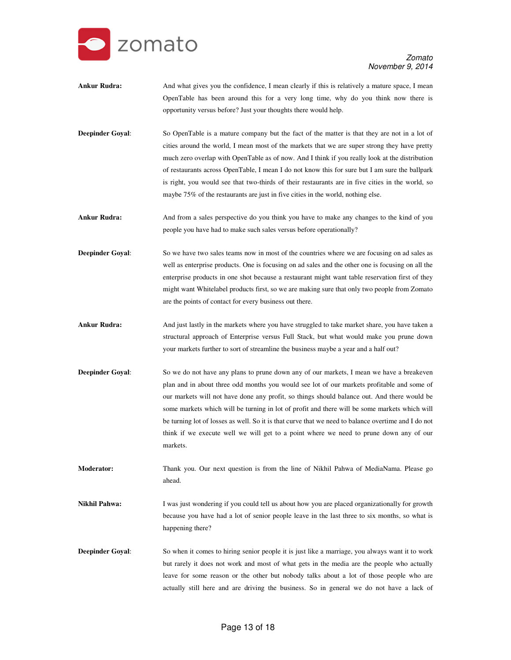

| <b>Ankur Rudra:</b>     | And what gives you the confidence, I mean clearly if this is relatively a mature space, I mean<br>OpenTable has been around this for a very long time, why do you think now there is<br>opportunity versus before? Just your thoughts there would help.                                                                                                                                                                                                                                                                                                                                             |
|-------------------------|-----------------------------------------------------------------------------------------------------------------------------------------------------------------------------------------------------------------------------------------------------------------------------------------------------------------------------------------------------------------------------------------------------------------------------------------------------------------------------------------------------------------------------------------------------------------------------------------------------|
| <b>Deepinder Goyal:</b> | So OpenTable is a mature company but the fact of the matter is that they are not in a lot of<br>cities around the world, I mean most of the markets that we are super strong they have pretty<br>much zero overlap with OpenTable as of now. And I think if you really look at the distribution<br>of restaurants across OpenTable, I mean I do not know this for sure but I am sure the ballpark<br>is right, you would see that two-thirds of their restaurants are in five cities in the world, so<br>maybe 75% of the restaurants are just in five cities in the world, nothing else.           |
| <b>Ankur Rudra:</b>     | And from a sales perspective do you think you have to make any changes to the kind of you<br>people you have had to make such sales versus before operationally?                                                                                                                                                                                                                                                                                                                                                                                                                                    |
| <b>Deepinder Goyal:</b> | So we have two sales teams now in most of the countries where we are focusing on ad sales as<br>well as enterprise products. One is focusing on ad sales and the other one is focusing on all the<br>enterprise products in one shot because a restaurant might want table reservation first of they<br>might want Whitelabel products first, so we are making sure that only two people from Zomato<br>are the points of contact for every business out there.                                                                                                                                     |
| <b>Ankur Rudra:</b>     | And just lastly in the markets where you have struggled to take market share, you have taken a<br>structural approach of Enterprise versus Full Stack, but what would make you prune down<br>your markets further to sort of streamline the business maybe a year and a half out?                                                                                                                                                                                                                                                                                                                   |
| <b>Deepinder Goyal:</b> | So we do not have any plans to prune down any of our markets, I mean we have a breakeven<br>plan and in about three odd months you would see lot of our markets profitable and some of<br>our markets will not have done any profit, so things should balance out. And there would be<br>some markets which will be turning in lot of profit and there will be some markets which will<br>be turning lot of losses as well. So it is that curve that we need to balance overtime and I do not<br>think if we execute well we will get to a point where we need to prune down any of our<br>markets. |
| <b>Moderator:</b>       | Thank you. Our next question is from the line of Nikhil Pahwa of MediaNama. Please go<br>ahead.                                                                                                                                                                                                                                                                                                                                                                                                                                                                                                     |
| <b>Nikhil Pahwa:</b>    | I was just wondering if you could tell us about how you are placed organizationally for growth<br>because you have had a lot of senior people leave in the last three to six months, so what is<br>happening there?                                                                                                                                                                                                                                                                                                                                                                                 |
| <b>Deepinder Goyal:</b> | So when it comes to hiring senior people it is just like a marriage, you always want it to work<br>but rarely it does not work and most of what gets in the media are the people who actually                                                                                                                                                                                                                                                                                                                                                                                                       |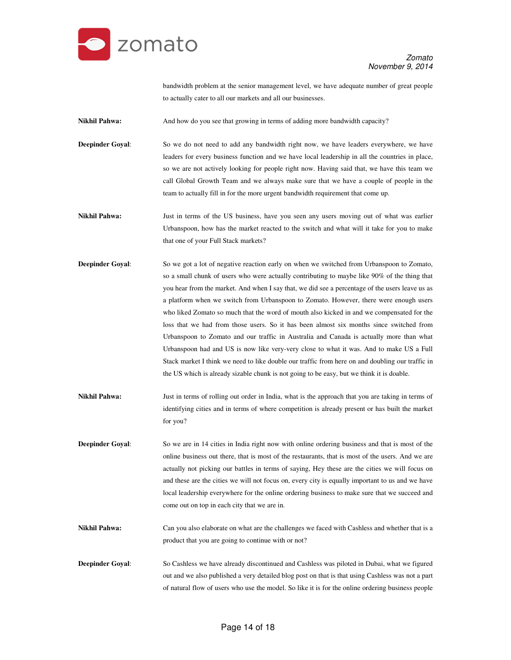

bandwidth problem at the senior management level, we have adequate number of great people to actually cater to all our markets and all our businesses.

**Nikhil Pahwa:** And how do you see that growing in terms of adding more bandwidth capacity?

**Deepinder Goyal:** So we do not need to add any bandwidth right now, we have leaders everywhere, we have leaders for every business function and we have local leadership in all the countries in place, so we are not actively looking for people right now. Having said that, we have this team we call Global Growth Team and we always make sure that we have a couple of people in the team to actually fill in for the more urgent bandwidth requirement that come up.

- **Nikhil Pahwa:** Just in terms of the US business, have you seen any users moving out of what was earlier Urbanspoon, how has the market reacted to the switch and what will it take for you to make that one of your Full Stack markets?
- **Deepinder Goyal:** So we got a lot of negative reaction early on when we switched from Urbanspoon to Zomato, so a small chunk of users who were actually contributing to maybe like 90% of the thing that you hear from the market. And when I say that, we did see a percentage of the users leave us as a platform when we switch from Urbanspoon to Zomato. However, there were enough users who liked Zomato so much that the word of mouth also kicked in and we compensated for the loss that we had from those users. So it has been almost six months since switched from Urbanspoon to Zomato and our traffic in Australia and Canada is actually more than what Urbanspoon had and US is now like very-very close to what it was. And to make US a Full Stack market I think we need to like double our traffic from here on and doubling our traffic in the US which is already sizable chunk is not going to be easy, but we think it is doable.
- **Nikhil Pahwa:** Just in terms of rolling out order in India, what is the approach that you are taking in terms of identifying cities and in terms of where competition is already present or has built the market for you?
- **Deepinder Goyal:** So we are in 14 cities in India right now with online ordering business and that is most of the online business out there, that is most of the restaurants, that is most of the users. And we are actually not picking our battles in terms of saying, Hey these are the cities we will focus on and these are the cities we will not focus on, every city is equally important to us and we have local leadership everywhere for the online ordering business to make sure that we succeed and come out on top in each city that we are in.
- **Nikhil Pahwa:** Can you also elaborate on what are the challenges we faced with Cashless and whether that is a product that you are going to continue with or not?
- **Deepinder Goyal**: So Cashless we have already discontinued and Cashless was piloted in Dubai, what we figured out and we also published a very detailed blog post on that is that using Cashless was not a part of natural flow of users who use the model. So like it is for the online ordering business people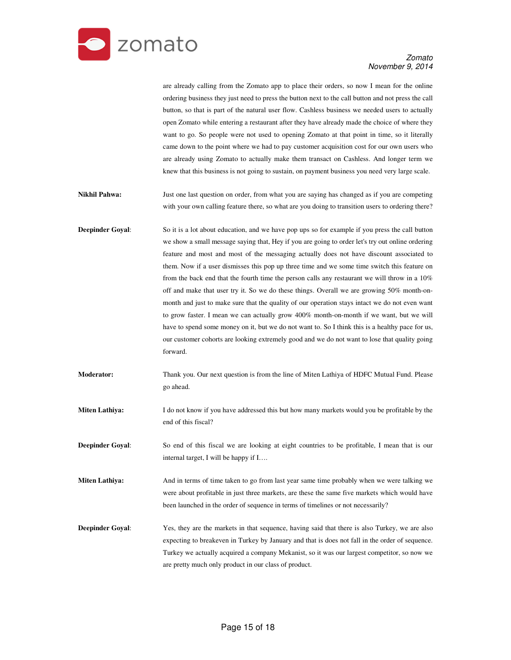

are already calling from the Zomato app to place their orders, so now I mean for the online ordering business they just need to press the button next to the call button and not press the call button, so that is part of the natural user flow. Cashless business we needed users to actually open Zomato while entering a restaurant after they have already made the choice of where they want to go. So people were not used to opening Zomato at that point in time, so it literally came down to the point where we had to pay customer acquisition cost for our own users who are already using Zomato to actually make them transact on Cashless. And longer term we knew that this business is not going to sustain, on payment business you need very large scale.

- **Nikhil Pahwa:** Just one last question on order, from what you are saying has changed as if you are competing with your own calling feature there, so what are you doing to transition users to ordering there?
- **Deepinder Goyal**: So it is a lot about education, and we have pop ups so for example if you press the call button we show a small message saying that, Hey if you are going to order let's try out online ordering feature and most and most of the messaging actually does not have discount associated to them. Now if a user dismisses this pop up three time and we some time switch this feature on from the back end that the fourth time the person calls any restaurant we will throw in a 10% off and make that user try it. So we do these things. Overall we are growing 50% month-onmonth and just to make sure that the quality of our operation stays intact we do not even want to grow faster. I mean we can actually grow 400% month-on-month if we want, but we will have to spend some money on it, but we do not want to. So I think this is a healthy pace for us, our customer cohorts are looking extremely good and we do not want to lose that quality going forward.
- **Moderator:** Thank you. Our next question is from the line of Miten Lathiya of HDFC Mutual Fund. Please go ahead.
- **Miten Lathiya:** I do not know if you have addressed this but how many markets would you be profitable by the end of this fiscal?
- **Deepinder Goyal**: So end of this fiscal we are looking at eight countries to be profitable, I mean that is our internal target, I will be happy if I….
- **Miten Lathiya:** And in terms of time taken to go from last year same time probably when we were talking we were about profitable in just three markets, are these the same five markets which would have been launched in the order of sequence in terms of timelines or not necessarily?
- **Deepinder Goyal:** Yes, they are the markets in that sequence, having said that there is also Turkey, we are also expecting to breakeven in Turkey by January and that is does not fall in the order of sequence. Turkey we actually acquired a company Mekanist, so it was our largest competitor, so now we are pretty much only product in our class of product.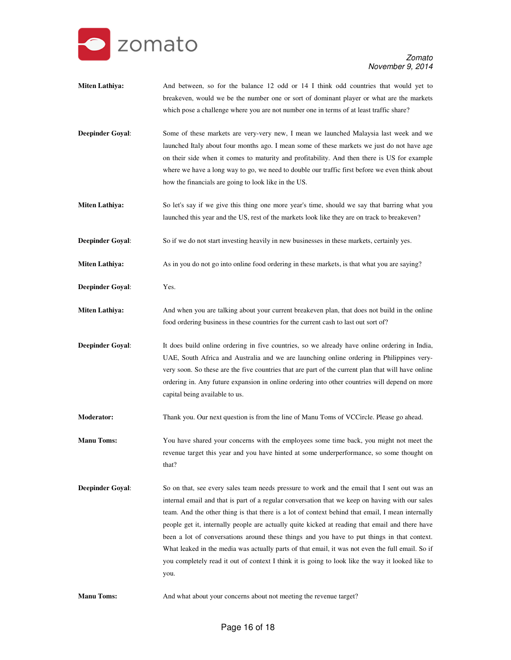

| <b>Miten Lathiya:</b>   | And between, so for the balance 12 odd or 14 I think odd countries that would yet to<br>breakeven, would we be the number one or sort of dominant player or what are the markets<br>which pose a challenge where you are not number one in terms of at least traffic share?                                                                                                                                                                                                                                                                                                                                                                                                                                           |
|-------------------------|-----------------------------------------------------------------------------------------------------------------------------------------------------------------------------------------------------------------------------------------------------------------------------------------------------------------------------------------------------------------------------------------------------------------------------------------------------------------------------------------------------------------------------------------------------------------------------------------------------------------------------------------------------------------------------------------------------------------------|
| <b>Deepinder Goyal:</b> | Some of these markets are very-very new, I mean we launched Malaysia last week and we<br>launched Italy about four months ago. I mean some of these markets we just do not have age<br>on their side when it comes to maturity and profitability. And then there is US for example<br>where we have a long way to go, we need to double our traffic first before we even think about<br>how the financials are going to look like in the US.                                                                                                                                                                                                                                                                          |
| <b>Miten Lathiya:</b>   | So let's say if we give this thing one more year's time, should we say that barring what you<br>launched this year and the US, rest of the markets look like they are on track to breakeven?                                                                                                                                                                                                                                                                                                                                                                                                                                                                                                                          |
| <b>Deepinder Goyal:</b> | So if we do not start investing heavily in new businesses in these markets, certainly yes.                                                                                                                                                                                                                                                                                                                                                                                                                                                                                                                                                                                                                            |
| <b>Miten Lathiya:</b>   | As in you do not go into online food ordering in these markets, is that what you are saying?                                                                                                                                                                                                                                                                                                                                                                                                                                                                                                                                                                                                                          |
| <b>Deepinder Goyal:</b> | Yes.                                                                                                                                                                                                                                                                                                                                                                                                                                                                                                                                                                                                                                                                                                                  |
| <b>Miten Lathiya:</b>   | And when you are talking about your current breakeven plan, that does not build in the online<br>food ordering business in these countries for the current cash to last out sort of?                                                                                                                                                                                                                                                                                                                                                                                                                                                                                                                                  |
| <b>Deepinder Goyal:</b> | It does build online ordering in five countries, so we already have online ordering in India,<br>UAE, South Africa and Australia and we are launching online ordering in Philippines very-<br>very soon. So these are the five countries that are part of the current plan that will have online<br>ordering in. Any future expansion in online ordering into other countries will depend on more<br>capital being available to us.                                                                                                                                                                                                                                                                                   |
| <b>Moderator:</b>       | Thank you. Our next question is from the line of Manu Toms of VCCircle. Please go ahead.                                                                                                                                                                                                                                                                                                                                                                                                                                                                                                                                                                                                                              |
| <b>Manu Toms:</b>       | You have shared your concerns with the employees some time back, you might not meet the<br>revenue target this year and you have hinted at some underperformance, so some thought on<br>that?                                                                                                                                                                                                                                                                                                                                                                                                                                                                                                                         |
| <b>Deepinder Goyal:</b> | So on that, see every sales team needs pressure to work and the email that I sent out was an<br>internal email and that is part of a regular conversation that we keep on having with our sales<br>team. And the other thing is that there is a lot of context behind that email, I mean internally<br>people get it, internally people are actually quite kicked at reading that email and there have<br>been a lot of conversations around these things and you have to put things in that context.<br>What leaked in the media was actually parts of that email, it was not even the full email. So if<br>you completely read it out of context I think it is going to look like the way it looked like to<br>you. |

**Manu Toms:** And what about your concerns about not meeting the revenue target?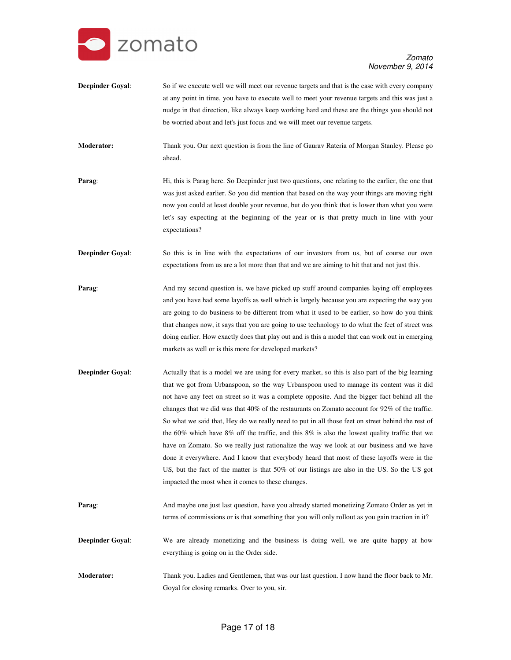

| <b>Deepinder Goyal:</b> | So if we execute well we will meet our revenue targets and that is the case with every company<br>at any point in time, you have to execute well to meet your revenue targets and this was just a<br>nudge in that direction, like always keep working hard and these are the things you should not<br>be worried about and let's just focus and we will meet our revenue targets.                                                                                                                                                                                                                                                                                                                                                                                                                                                                                                                                                                         |
|-------------------------|------------------------------------------------------------------------------------------------------------------------------------------------------------------------------------------------------------------------------------------------------------------------------------------------------------------------------------------------------------------------------------------------------------------------------------------------------------------------------------------------------------------------------------------------------------------------------------------------------------------------------------------------------------------------------------------------------------------------------------------------------------------------------------------------------------------------------------------------------------------------------------------------------------------------------------------------------------|
| <b>Moderator:</b>       | Thank you. Our next question is from the line of Gaurav Rateria of Morgan Stanley. Please go<br>ahead.                                                                                                                                                                                                                                                                                                                                                                                                                                                                                                                                                                                                                                                                                                                                                                                                                                                     |
| Parag:                  | Hi, this is Parag here. So Deepinder just two questions, one relating to the earlier, the one that<br>was just asked earlier. So you did mention that based on the way your things are moving right<br>now you could at least double your revenue, but do you think that is lower than what you were<br>let's say expecting at the beginning of the year or is that pretty much in line with your<br>expectations?                                                                                                                                                                                                                                                                                                                                                                                                                                                                                                                                         |
| <b>Deepinder Goyal:</b> | So this is in line with the expectations of our investors from us, but of course our own<br>expectations from us are a lot more than that and we are aiming to hit that and not just this.                                                                                                                                                                                                                                                                                                                                                                                                                                                                                                                                                                                                                                                                                                                                                                 |
| Parag:                  | And my second question is, we have picked up stuff around companies laying off employees<br>and you have had some layoffs as well which is largely because you are expecting the way you<br>are going to do business to be different from what it used to be earlier, so how do you think<br>that changes now, it says that you are going to use technology to do what the feet of street was<br>doing earlier. How exactly does that play out and is this a model that can work out in emerging<br>markets as well or is this more for developed markets?                                                                                                                                                                                                                                                                                                                                                                                                 |
| <b>Deepinder Goyal:</b> | Actually that is a model we are using for every market, so this is also part of the big learning<br>that we got from Urbanspoon, so the way Urbanspoon used to manage its content was it did<br>not have any feet on street so it was a complete opposite. And the bigger fact behind all the<br>changes that we did was that $40\%$ of the restaurants on Zomato account for $92\%$ of the traffic.<br>So what we said that, Hey do we really need to put in all those feet on street behind the rest of<br>the 60% which have 8% off the traffic, and this 8% is also the lowest quality traffic that we<br>have on Zomato. So we really just rationalize the way we look at our business and we have<br>done it everywhere. And I know that everybody heard that most of these layoffs were in the<br>US, but the fact of the matter is that 50% of our listings are also in the US. So the US got<br>impacted the most when it comes to these changes. |
| Parag:                  | And maybe one just last question, have you already started monetizing Zomato Order as yet in<br>terms of commissions or is that something that you will only rollout as you gain traction in it?                                                                                                                                                                                                                                                                                                                                                                                                                                                                                                                                                                                                                                                                                                                                                           |
| <b>Deepinder Goyal:</b> | We are already monetizing and the business is doing well, we are quite happy at how<br>everything is going on in the Order side.                                                                                                                                                                                                                                                                                                                                                                                                                                                                                                                                                                                                                                                                                                                                                                                                                           |
| Moderator:              | Thank you. Ladies and Gentlemen, that was our last question. I now hand the floor back to Mr.<br>Goyal for closing remarks. Over to you, sir.                                                                                                                                                                                                                                                                                                                                                                                                                                                                                                                                                                                                                                                                                                                                                                                                              |